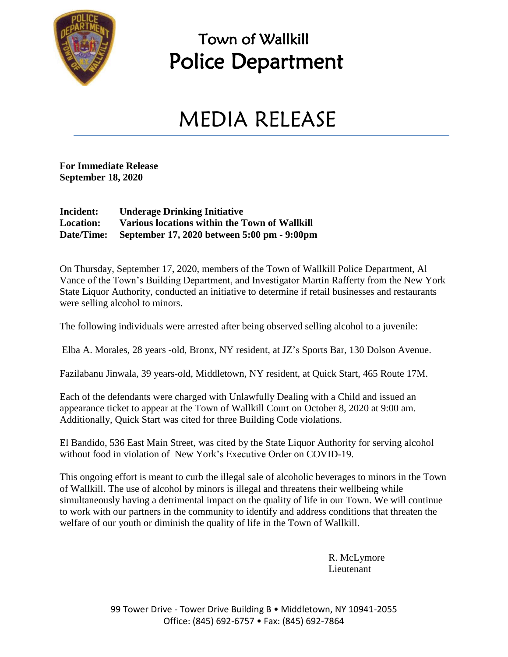

## Town of Wallkill Police Department

## MEDIA RELEASE

**For Immediate Release September 18, 2020**

## **Incident: Underage Drinking Initiative Location: Various locations within the Town of Wallkill Date/Time: September 17, 2020 between 5:00 pm - 9:00pm**

On Thursday, September 17, 2020, members of the Town of Wallkill Police Department, Al Vance of the Town's Building Department, and Investigator Martin Rafferty from the New York State Liquor Authority, conducted an initiative to determine if retail businesses and restaurants were selling alcohol to minors.

The following individuals were arrested after being observed selling alcohol to a juvenile:

Elba A. Morales, 28 years -old, Bronx, NY resident, at JZ's Sports Bar, 130 Dolson Avenue.

Fazilabanu Jinwala, 39 years-old, Middletown, NY resident, at Quick Start, 465 Route 17M.

Each of the defendants were charged with Unlawfully Dealing with a Child and issued an appearance ticket to appear at the Town of Wallkill Court on October 8, 2020 at 9:00 am. Additionally, Quick Start was cited for three Building Code violations.

El Bandido, 536 East Main Street, was cited by the State Liquor Authority for serving alcohol without food in violation of New York's Executive Order on COVID-19.

This ongoing effort is meant to curb the illegal sale of alcoholic beverages to minors in the Town of Wallkill. The use of alcohol by minors is illegal and threatens their wellbeing while simultaneously having a detrimental impact on the quality of life in our Town. We will continue to work with our partners in the community to identify and address conditions that threaten the welfare of our youth or diminish the quality of life in the Town of Wallkill.

> R. McLymore Lieutenant

99 Tower Drive - Tower Drive Building B · Middletown, NY 10941-2055 Office: (845) 692-6757 • Fax: (845) 692-7864